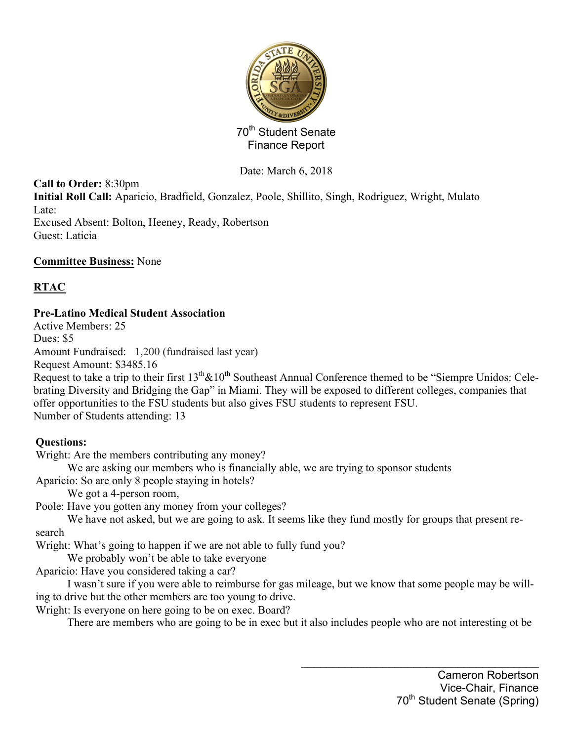

Date: March 6, 2018

**Call to Order:** 8:30pm

**Initial Roll Call:** Aparicio, Bradfield, Gonzalez, Poole, Shillito, Singh, Rodriguez, Wright, Mulato Late:

Excused Absent: Bolton, Heeney, Ready, Robertson Guest: Laticia

### **Committee Business:** None

# **RTAC**

# **Pre-Latino Medical Student Association**

Active Members: 25

Dues: \$5

Amount Fundraised: 1,200 (fundraised last year)

Request Amount: \$3485.16

Request to take a trip to their first  $13<sup>th</sup> \& 10<sup>th</sup>$  Southeast Annual Conference themed to be "Siempre Unidos: Celebrating Diversity and Bridging the Gap" in Miami. They will be exposed to different colleges, companies that offer opportunities to the FSU students but also gives FSU students to represent FSU. Number of Students attending: 13

# **Questions:**

Wright: Are the members contributing any money?

We are asking our members who is financially able, we are trying to sponsor students Aparicio: So are only 8 people staying in hotels?

We got a 4-person room,

Poole: Have you gotten any money from your colleges?

We have not asked, but we are going to ask. It seems like they fund mostly for groups that present research

Wright: What's going to happen if we are not able to fully fund you?

We probably won't be able to take everyone

Aparicio: Have you considered taking a car?

I wasn't sure if you were able to reimburse for gas mileage, but we know that some people may be willing to drive but the other members are too young to drive.

Wright: Is everyone on here going to be on exec. Board?

There are members who are going to be in exec but it also includes people who are not interesting ot be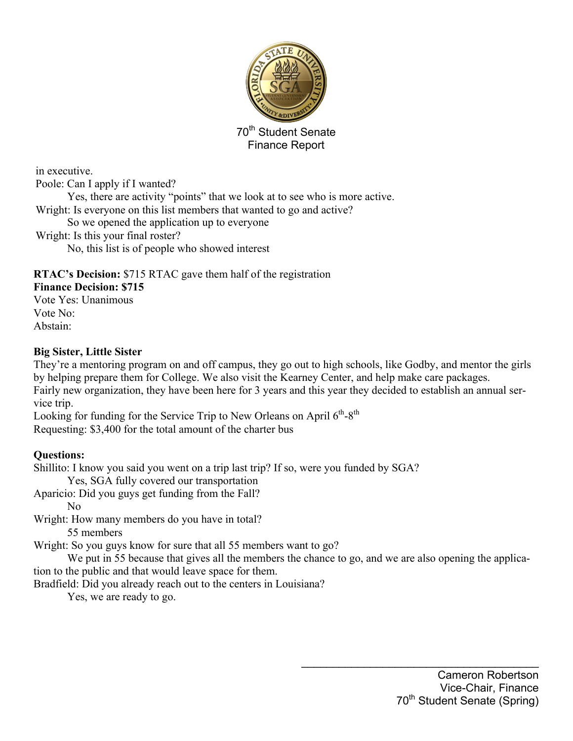

in executive. Poole: Can I apply if I wanted? Yes, there are activity "points" that we look at to see who is more active. Wright: Is everyone on this list members that wanted to go and active? So we opened the application up to everyone Wright: Is this your final roster? No, this list is of people who showed interest

# **RTAC's Decision:** \$715 RTAC gave them half of the registration

#### **Finance Decision: \$715**

Vote Yes: Unanimous Vote No: Abstain:

#### **Big Sister, Little Sister**

They're a mentoring program on and off campus, they go out to high schools, like Godby, and mentor the girls by helping prepare them for College. We also visit the Kearney Center, and help make care packages. Fairly new organization, they have been here for 3 years and this year they decided to establish an annual service trip.

Looking for funding for the Service Trip to New Orleans on April  $6<sup>th</sup>-8<sup>th</sup>$ Requesting: \$3,400 for the total amount of the charter bus

### **Questions:**

Shillito: I know you said you went on a trip last trip? If so, were you funded by SGA?

Yes, SGA fully covered our transportation

Aparicio: Did you guys get funding from the Fall?

No

Wright: How many members do you have in total?

55 members

Wright: So you guys know for sure that all 55 members want to go?

We put in 55 because that gives all the members the chance to go, and we are also opening the application to the public and that would leave space for them.

Bradfield: Did you already reach out to the centers in Louisiana?

Yes, we are ready to go.

 $\mathcal{L}_\text{max}$  , and the set of the set of the set of the set of the set of the set of the set of the set of the set of the set of the set of the set of the set of the set of the set of the set of the set of the set of the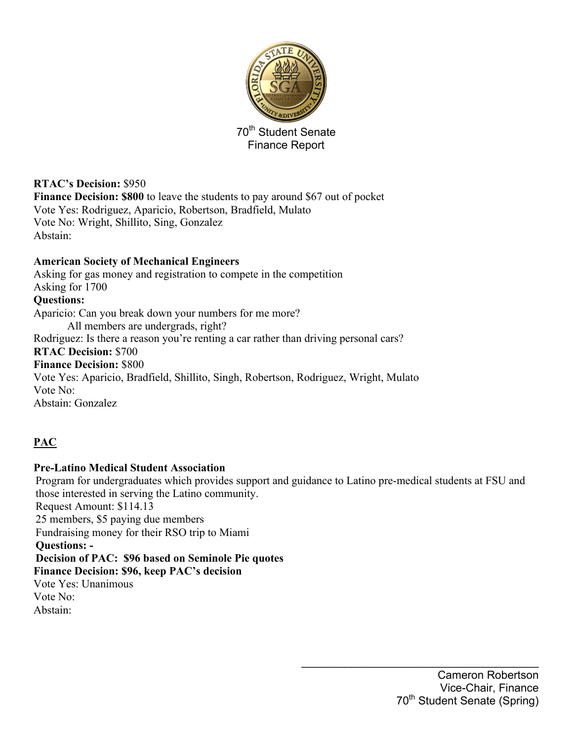

**RTAC's Decision:** \$950 **Finance Decision: \$800** to leave the students to pay around \$67 out of pocket Vote Yes: Rodriguez, Aparicio, Robertson, Bradfield, Mulato Vote No: Wright, Shillito, Sing, Gonzalez Abstain:

#### **American Society of Mechanical Engineers**

Asking for gas money and registration to compete in the competition Asking for 1700 **Questions:**  Aparicio: Can you break down your numbers for me more? All members are undergrads, right? Rodriguez: Is there a reason you're renting a car rather than driving personal cars? **RTAC Decision:** \$700 **Finance Decision:** \$800 Vote Yes: Aparicio, Bradfield, Shillito, Singh, Robertson, Rodriguez, Wright, Mulato Vote No: Abstain: Gonzalez

### **PAC**

#### **Pre-Latino Medical Student Association**

Program for undergraduates which provides support and guidance to Latino pre-medical students at FSU and those interested in serving the Latino community. Request Amount: \$114.13 25 members, \$5 paying due members Fundraising money for their RSO trip to Miami **Questions: - Decision of PAC: \$96 based on Seminole Pie quotes Finance Decision: \$96, keep PAC's decision** Vote Yes: Unanimous Vote No: Abstain:

 $\mathcal{L}_\text{max}$  , and the set of the set of the set of the set of the set of the set of the set of the set of the set of the set of the set of the set of the set of the set of the set of the set of the set of the set of the